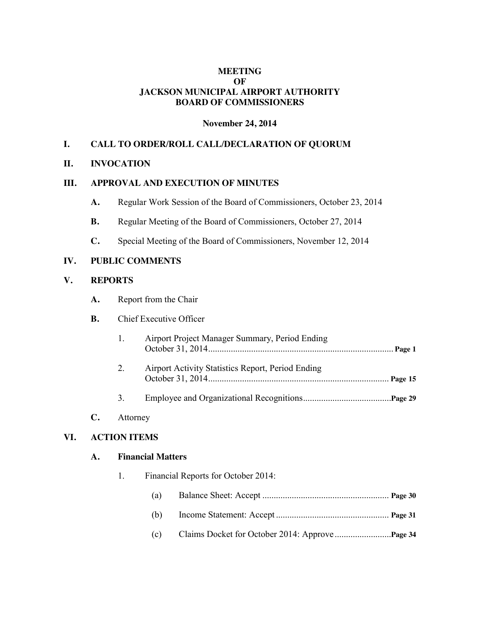# **MEETING OF JACKSON MUNICIPAL AIRPORT AUTHORITY BOARD OF COMMISSIONERS**

#### **November 24, 2014**

## **I. CALL TO ORDER/ROLL CALL/DECLARATION OF QUORUM**

#### **II. INVOCATION**

#### **III. APPROVAL AND EXECUTION OF MINUTES**

- **A.** Regular Work Session of the Board of Commissioners, October 23, 2014
- **B.** Regular Meeting of the Board of Commissioners, October 27, 2014
- **C.** Special Meeting of the Board of Commissioners, November 12, 2014

### **IV. PUBLIC COMMENTS**

#### **V. REPORTS**

**A.** Report from the Chair

### **B.** Chief Executive Officer

- 1. Airport Project Manager Summary, Period Ending October 31, 2014.................................................................................. **Page 1** 2. Airport Activity Statistics Report, Period Ending October 31, 2014................................................................................ **Page 15**
- 3. Employee and Organizational Recognitions.......................................**Page 29**

### **C.** Attorney

### **VI. ACTION ITEMS**

#### **A. Financial Matters**

| 1. |     | Financial Reports for October 2014: |
|----|-----|-------------------------------------|
|    | (a) |                                     |
|    | (b) |                                     |
|    | (c) |                                     |